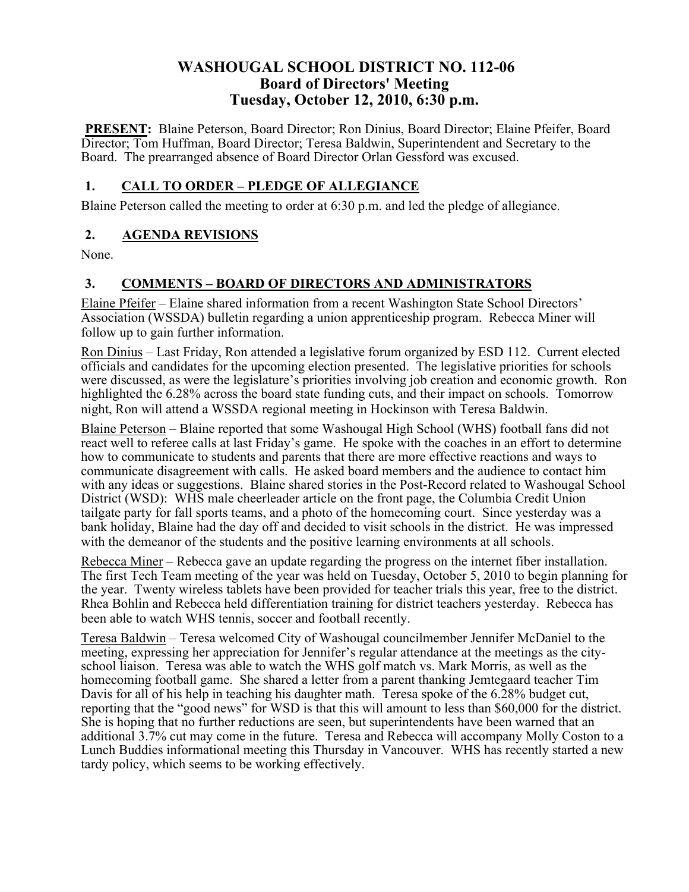# **WASHOUGAL SCHOOL DISTRICT NO. 112-06 Board of Directors' Meeting Tuesday, October 12, 2010, 6:30 p.m.**

**PRESENT:** Blaine Peterson, Board Director; Ron Dinius, Board Director; Elaine Pfeifer, Board Director; Tom Huffman, Board Director; Teresa Baldwin, Superintendent and Secretary to the Board. The prearranged absence of Board Director Orlan Gessford was excused.

### **1. CALL TO ORDER – PLEDGE OF ALLEGIANCE**

Blaine Peterson called the meeting to order at 6:30 p.m. and led the pledge of allegiance.

### **2. AGENDA REVISIONS**

None.

# **3. COMMENTS – BOARD OF DIRECTORS AND ADMINISTRATORS**

Elaine Pfeifer – Elaine shared information from a recent Washington State School Directors' Association (WSSDA) bulletin regarding a union apprenticeship program. Rebecca Miner will follow up to gain further information.

Ron Dinius – Last Friday, Ron attended a legislative forum organized by ESD 112. Current elected officials and candidates for the upcoming election presented. The legislative priorities for schools were discussed, as were the legislature's priorities involving job creation and economic growth. Ron highlighted the 6.28% across the board state funding cuts, and their impact on schools. Tomorrow night, Ron will attend a WSSDA regional meeting in Hockinson with Teresa Baldwin.

Blaine Peterson – Blaine reported that some Washougal High School (WHS) football fans did not react well to referee calls at last Friday's game. He spoke with the coaches in an effort to determine how to communicate to students and parents that there are more effective reactions and ways to communicate disagreement with calls. He asked board members and the audience to contact him with any ideas or suggestions. Blaine shared stories in the Post-Record related to Washougal School District (WSD): WHS male cheerleader article on the front page, the Columbia Credit Union tailgate party for fall sports teams, and a photo of the homecoming court. Since yesterday was a bank holiday, Blaine had the day off and decided to visit schools in the district. He was impressed with the demeanor of the students and the positive learning environments at all schools.

Rebecca Miner – Rebecca gave an update regarding the progress on the internet fiber installation. The first Tech Team meeting of the year was held on Tuesday, October 5, 2010 to begin planning for the year. Twenty wireless tablets have been provided for teacher trials this year, free to the district. Rhea Bohlin and Rebecca held differentiation training for district teachers yesterday. Rebecca has been able to watch WHS tennis, soccer and football recently.

Teresa Baldwin – Teresa welcomed City of Washougal councilmember Jennifer McDaniel to the meeting, expressing her appreciation for Jennifer's regular attendance at the meetings as the cityschool liaison. Teresa was able to watch the WHS golf match vs. Mark Morris, as well as the homecoming football game. She shared a letter from a parent thanking Jemtegaard teacher Tim Davis for all of his help in teaching his daughter math. Teresa spoke of the 6.28% budget cut, reporting that the "good news" for WSD is that this will amount to less than \$60,000 for the district. She is hoping that no further reductions are seen, but superintendents have been warned that an additional 3.7% cut may come in the future. Teresa and Rebecca will accompany Molly Coston to a Lunch Buddies informational meeting this Thursday in Vancouver. WHS has recently started a new tardy policy, which seems to be working effectively.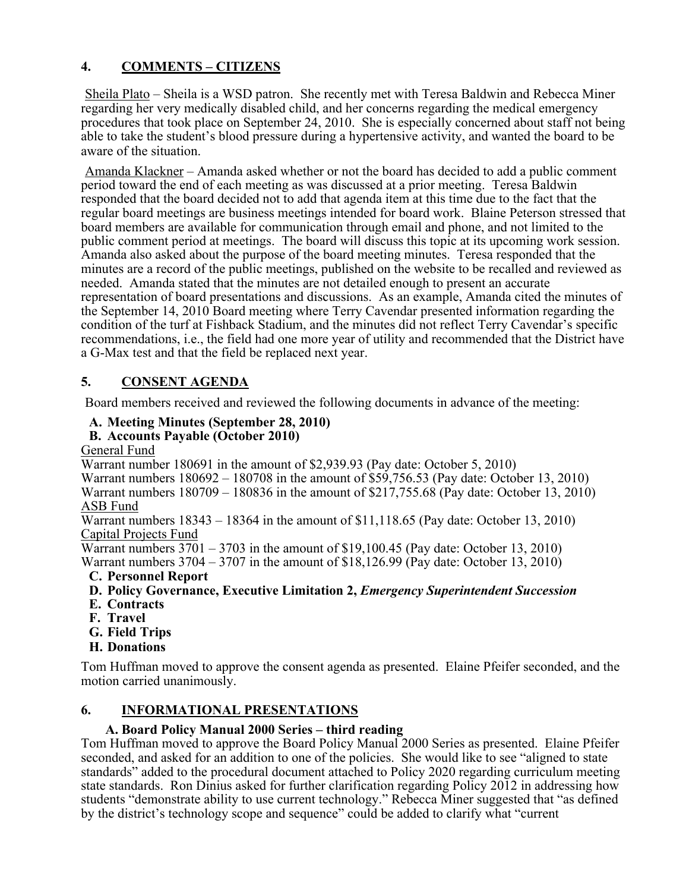### **4. COMMENTS – CITIZENS**

Sheila Plato – Sheila is a WSD patron. She recently met with Teresa Baldwin and Rebecca Miner regarding her very medically disabled child, and her concerns regarding the medical emergency procedures that took place on September 24, 2010. She is especially concerned about staff not being able to take the student's blood pressure during a hypertensive activity, and wanted the board to be aware of the situation.

Amanda Klackner – Amanda asked whether or not the board has decided to add a public comment period toward the end of each meeting as was discussed at a prior meeting. Teresa Baldwin responded that the board decided not to add that agenda item at this time due to the fact that the regular board meetings are business meetings intended for board work. Blaine Peterson stressed that board members are available for communication through email and phone, and not limited to the public comment period at meetings. The board will discuss this topic at its upcoming work session. Amanda also asked about the purpose of the board meeting minutes. Teresa responded that the minutes are a record of the public meetings, published on the website to be recalled and reviewed as needed. Amanda stated that the minutes are not detailed enough to present an accurate representation of board presentations and discussions. As an example, Amanda cited the minutes of the September 14, 2010 Board meeting where Terry Cavendar presented information regarding the condition of the turf at Fishback Stadium, and the minutes did not reflect Terry Cavendar's specific recommendations, i.e., the field had one more year of utility and recommended that the District have a G-Max test and that the field be replaced next year.

# **5. CONSENT AGENDA**

Board members received and reviewed the following documents in advance of the meeting:

### **A. Meeting Minutes (September 28, 2010)**

#### **B. Accounts Payable (October 2010)**

General Fund

Warrant number 180691 in the amount of \$2,939.93 (Pay date: October 5, 2010) Warrant numbers 180692 – 180708 in the amount of \$59,756.53 (Pay date: October 13, 2010) Warrant numbers 180709 – 180836 in the amount of \$217,755.68 (Pay date: October 13, 2010) ASB Fund

Warrant numbers 18343 – 18364 in the amount of \$11,118.65 (Pay date: October 13, 2010) Capital Projects Fund

Warrant numbers 3701 – 3703 in the amount of \$19,100.45 (Pay date: October 13, 2010)

Warrant numbers 3704 – 3707 in the amount of \$18,126.99 (Pay date: October 13, 2010) **C. Personnel Report**

- **D. Policy Governance, Executive Limitation 2,** *Emergency Superintendent Succession*
- **E. Contracts**
- **F. Travel**
- **G. Field Trips**
- **H. Donations**

Tom Huffman moved to approve the consent agenda as presented. Elaine Pfeifer seconded, and the motion carried unanimously.

### **6. INFORMATIONAL PRESENTATIONS**

#### **A. Board Policy Manual 2000 Series – third reading**

Tom Huffman moved to approve the Board Policy Manual 2000 Series as presented. Elaine Pfeifer seconded, and asked for an addition to one of the policies. She would like to see "aligned to state standards" added to the procedural document attached to Policy 2020 regarding curriculum meeting state standards. Ron Dinius asked for further clarification regarding Policy 2012 in addressing how students "demonstrate ability to use current technology." Rebecca Miner suggested that "as defined by the district's technology scope and sequence" could be added to clarify what "current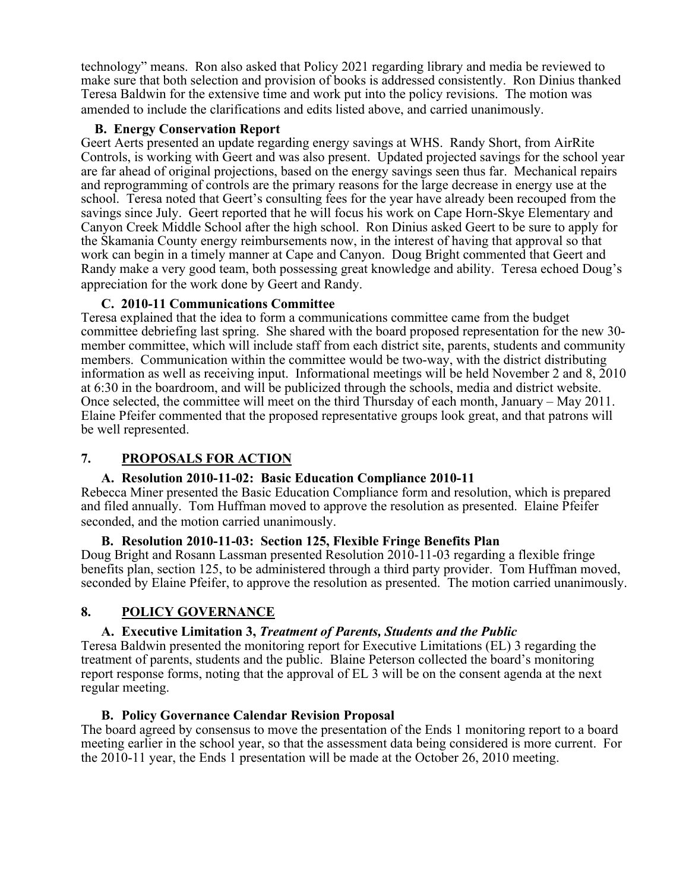technology" means. Ron also asked that Policy 2021 regarding library and media be reviewed to make sure that both selection and provision of books is addressed consistently. Ron Dinius thanked Teresa Baldwin for the extensive time and work put into the policy revisions. The motion was amended to include the clarifications and edits listed above, and carried unanimously.

#### **B. Energy Conservation Report**

Geert Aerts presented an update regarding energy savings at WHS. Randy Short, from AirRite Controls, is working with Geert and was also present. Updated projected savings for the school year are far ahead of original projections, based on the energy savings seen thus far. Mechanical repairs and reprogramming of controls are the primary reasons for the large decrease in energy use at the school. Teresa noted that Geert's consulting fees for the year have already been recouped from the savings since July. Geert reported that he will focus his work on Cape Horn-Skye Elementary and Canyon Creek Middle School after the high school. Ron Dinius asked Geert to be sure to apply for the Skamania County energy reimbursements now, in the interest of having that approval so that work can begin in a timely manner at Cape and Canyon. Doug Bright commented that Geert and Randy make a very good team, both possessing great knowledge and ability. Teresa echoed Doug's appreciation for the work done by Geert and Randy.

#### **C. 2010-11 Communications Committee**

Teresa explained that the idea to form a communications committee came from the budget committee debriefing last spring. She shared with the board proposed representation for the new 30 member committee, which will include staff from each district site, parents, students and community members. Communication within the committee would be two-way, with the district distributing information as well as receiving input. Informational meetings will be held November 2 and 8, 2010 at 6:30 in the boardroom, and will be publicized through the schools, media and district website. Once selected, the committee will meet on the third Thursday of each month, January – May 2011. Elaine Pfeifer commented that the proposed representative groups look great, and that patrons will be well represented.

### **7. PROPOSALS FOR ACTION**

#### **A. Resolution 2010-11-02: Basic Education Compliance 2010-11**

Rebecca Miner presented the Basic Education Compliance form and resolution, which is prepared and filed annually. Tom Huffman moved to approve the resolution as presented. Elaine Pfeifer seconded, and the motion carried unanimously.

#### **B. Resolution 2010-11-03: Section 125, Flexible Fringe Benefits Plan**

Doug Bright and Rosann Lassman presented Resolution 2010-11-03 regarding a flexible fringe benefits plan, section 125, to be administered through a third party provider. Tom Huffman moved, seconded by Elaine Pfeifer, to approve the resolution as presented. The motion carried unanimously.

### **8. POLICY GOVERNANCE**

#### **A. Executive Limitation 3,** *Treatment of Parents, Students and the Public*

Teresa Baldwin presented the monitoring report for Executive Limitations (EL) 3 regarding the treatment of parents, students and the public. Blaine Peterson collected the board's monitoring report response forms, noting that the approval of EL 3 will be on the consent agenda at the next regular meeting.

#### **B. Policy Governance Calendar Revision Proposal**

The board agreed by consensus to move the presentation of the Ends 1 monitoring report to a board meeting earlier in the school year, so that the assessment data being considered is more current. For the 2010-11 year, the Ends 1 presentation will be made at the October 26, 2010 meeting.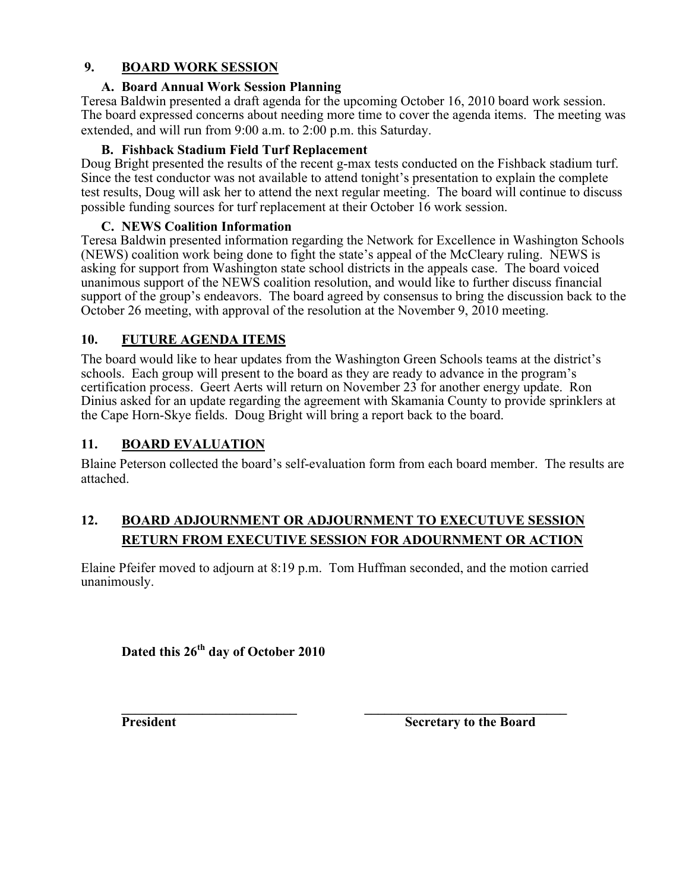#### **9. BOARD WORK SESSION**

#### **A. Board Annual Work Session Planning**

Teresa Baldwin presented a draft agenda for the upcoming October 16, 2010 board work session. The board expressed concerns about needing more time to cover the agenda items. The meeting was extended, and will run from 9:00 a.m. to 2:00 p.m. this Saturday.

### **B. Fishback Stadium Field Turf Replacement**

Doug Bright presented the results of the recent g-max tests conducted on the Fishback stadium turf. Since the test conductor was not available to attend tonight's presentation to explain the complete test results, Doug will ask her to attend the next regular meeting. The board will continue to discuss possible funding sources for turf replacement at their October 16 work session.

### **C. NEWS Coalition Information**

Teresa Baldwin presented information regarding the Network for Excellence in Washington Schools (NEWS) coalition work being done to fight the state's appeal of the McCleary ruling. NEWS is asking for support from Washington state school districts in the appeals case. The board voiced unanimous support of the NEWS coalition resolution, and would like to further discuss financial support of the group's endeavors. The board agreed by consensus to bring the discussion back to the October 26 meeting, with approval of the resolution at the November 9, 2010 meeting.

# **10. FUTURE AGENDA ITEMS**

The board would like to hear updates from the Washington Green Schools teams at the district's schools. Each group will present to the board as they are ready to advance in the program's certification process. Geert Aerts will return on November 23 for another energy update. Ron Dinius asked for an update regarding the agreement with Skamania County to provide sprinklers at the Cape Horn-Skye fields. Doug Bright will bring a report back to the board.

### **11. BOARD EVALUATION**

Blaine Peterson collected the board's self-evaluation form from each board member. The results are attached.

# **12. BOARD ADJOURNMENT OR ADJOURNMENT TO EXECUTUVE SESSION RETURN FROM EXECUTIVE SESSION FOR ADOURNMENT OR ACTION**

Elaine Pfeifer moved to adjourn at 8:19 p.m. Tom Huffman seconded, and the motion carried unanimously.

**Dated this 26th day of October 2010**

**\_\_\_\_\_\_\_\_\_\_\_\_\_\_\_\_\_\_\_\_\_\_\_\_\_\_ \_\_\_\_\_\_\_\_\_\_\_\_\_\_\_\_\_\_\_\_\_\_\_\_\_\_\_\_\_\_ President Secretary to the Board**